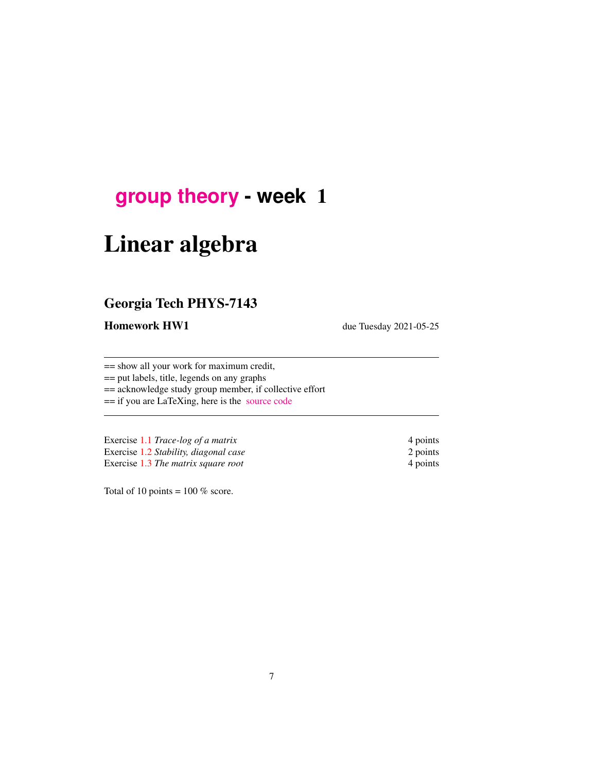## **[group theory](http://birdtracks.eu/course3/schedule.html) - week** 1

# Linear algebra

### Georgia Tech PHYS-7143

Homework HW1 due Tuesday 2021-05-25

== show all your work for maximum credit,

== put labels, title, legends on any graphs

== acknowledge study group member, if collective effort

== if you are LaTeXing, here is the [source code](http://birdtracks.eu/course3/exerWeek1.tex)

Exercise [1.1](#page-16-0) *Trace-log of a matrix* 4 points Exercise [1.2](#page-16-1) *Stability, diagonal case* 2 points Exercise [1.3](#page-16-2) *The matrix square root* 4 points

Total of 10 points =  $100\%$  score.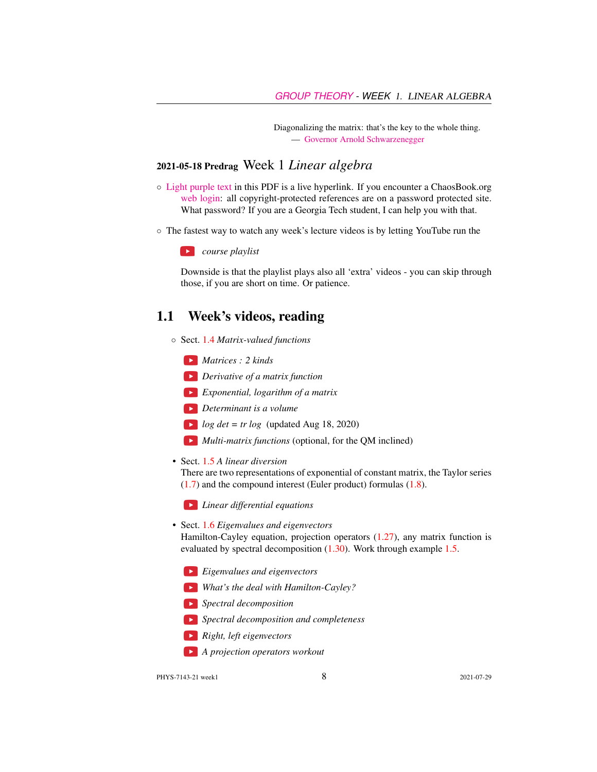Diagonalizing the matrix: that's the key to the whole thing. — [Governor Arnold Schwarzenegger](https://www.prairiehome.org/story/2003/11/29/guy-noir.html)

#### 2021-05-18 Predrag Week 1 *Linear algebra*

- [Light purple text](http://ChaosBook.org/figs/cat.hammock.gif) in this PDF is a live hyperlink. If you encounter a ChaosBook.org [web login:](http://ChaosBook.org/library/) all copyright-protected references are on a password protected site. What password? If you are a Georgia Tech student, I can help you with that.
- The fastest way to watch any week's lecture videos is by letting YouTube run the

*course playlist*

Downside is that the playlist plays also all 'extra' videos - you can skip through those, if you are short on time. Or patience.

#### 1.1 Week's videos, reading

- Sect. [1.4](#page-3-0) *Matrix-valued functions*
	- *Matrices : 2 kinds*
	- *Derivative of a matrix function*
	- *Exponential, logarithm of a matrix*
	- *Determinant is a volume*
	- $log \ det = tr log$  (updated Aug 18, 2020)
	- *Multi-matrix functions* (optional, for the QM inclined)
- Sect. [1.5](#page-6-0) *A linear diversion*

There are two representations of exponential of constant matrix, the Taylor series [\(1.7\)](#page-5-0) and the compound interest (Euler product) formulas [\(1.8\)](#page-5-0).

*Linear differential equations*

• Sect. [1.6](#page-7-0) *Eigenvalues and eigenvectors*

Hamilton-Cayley equation, projection operators [\(1.27\)](#page-8-0), any matrix function is evaluated by spectral decomposition [\(1.30\)](#page-9-0). Work through example [1.5.](#page-12-0)

- *Eigenvalues and eigenvectors*
- *What's the deal with Hamilton-Cayley?*
- *Spectral decomposition*
- *Spectral decomposition and completeness*
- *Right, left eigenvectors*
- *A projection operators workout*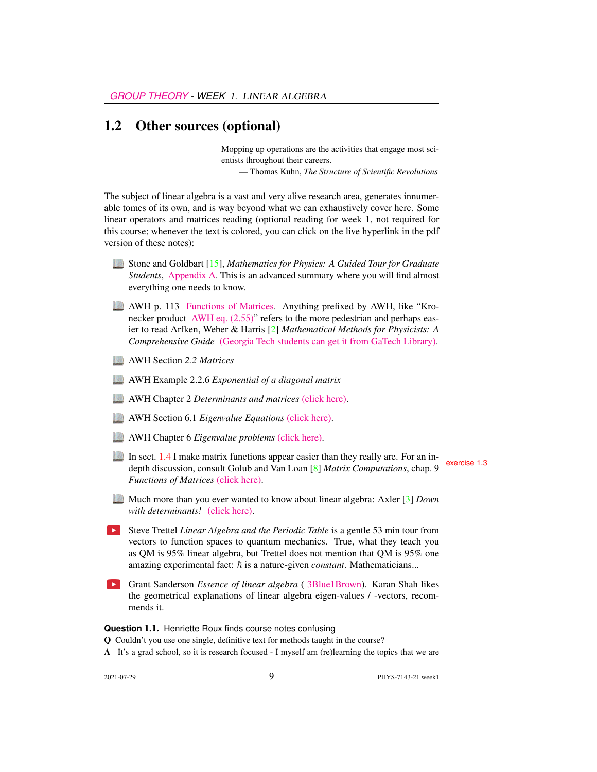#### 1.2 Other sources (optional)

Mopping up operations are the activities that engage most scientists throughout their careers.

— Thomas Kuhn, *The Structure of Scientific Revolutions*

The subject of linear algebra is a vast and very alive research area, generates innumerable tomes of its own, and is way beyond what we can exhaustively cover here. Some linear operators and matrices reading (optional reading for week 1, not required for this course; whenever the text is colored, you can click on the live hyperlink in the pdf version of these notes):

- Stone and Goldbart [\[15\]](#page-16-3), *Mathematics for Physics: A Guided Tour for Graduate Students*, [Appendix A.](http://ChaosBook.org/course2/StGoAppA.pdf) This is an advanced summary where you will find almost everything one needs to know.
- AWH p. 113 [Functions of Matrices.](http://ChaosBook.org/library/ArWeHa13chap2.pdf#section*.30) Anything prefixed by AWH, like "Kro-necker product [AWH eq. \(2.55\)"](http://ChaosBook.org/library/ArWeHa13chap2.pdf#section*.29) refers to the more pedestrian and perhaps easier to read Arfken, Weber & Harris [\[2\]](#page-15-0) *Mathematical Methods for Physicists: A Comprehensive Guide* [\(Georgia Tech students can get it from GaTech Library\).](https://www.sciencedirect.com/book/9780123846549/mathematical-methods-for-physicists)
- AWH Section *2.2 Matrices*
- AWH Example 2.2.6 *Exponential of a diagonal matrix*
- AWH Chapter 2 *Determinants and matrices* [\(click here\).](http://ChaosBook.org/library/ArWeHa13chap2.pdf)
- AWH Section 6.1 *Eigenvalue Equations* [\(click here\).](http://ChaosBook.org/library/ArWeHa13chap6.pdf)
- AWH Chapter 6 *Eigenvalue problems* [\(click here\).](http://ChaosBook.org/library/ArWeHa13chap6EigenvalueProbs.pdf)
- In sect. [1.4](#page-3-0) I make matrix functions appear easier than they really are. For an in-<br>depth discussion, consult Golub and Van Loan [\[8\]](#page-15-1) *Matrix Computations*, chap. 9 *Functions of Matrices* [\(click here\).](http://ChaosBook.org/library/GoVanLo96.pdf)
- Much more than you ever wanted to know about linear algebra: Axler [\[3\]](#page-15-2) *Down with determinants!* [\(click here\).](https://www.maa.org/sites/default/files/pdf/awards/Axler-Ford-1996.pdf)
- Steve Trettel *Linear Algebra and the Periodic Table* is a gentle 53 min tour from vectors to function spaces to quantum mechanics. True, what they teach you as QM is 95% linear algebra, but Trettel does not mention that QM is 95% one amazing experimental fact:  $\hbar$  is a nature-given *constant*. Mathematicians...
- Grant Sanderson *Essence of linear algebra* ([3Blue1Brown\)](https://www.3blue1brown.com/). Karan Shah likes the geometrical explanations of linear algebra eigen-values / -vectors, recommends it.

**Question** 1.1. Henriette Roux finds course notes confusing

Q Couldn't you use one single, definitive text for methods taught in the course?

A It's a grad school, so it is research focused - I myself am (re)learning the topics that we are

2021-07-29 PHYS-7143-21 week1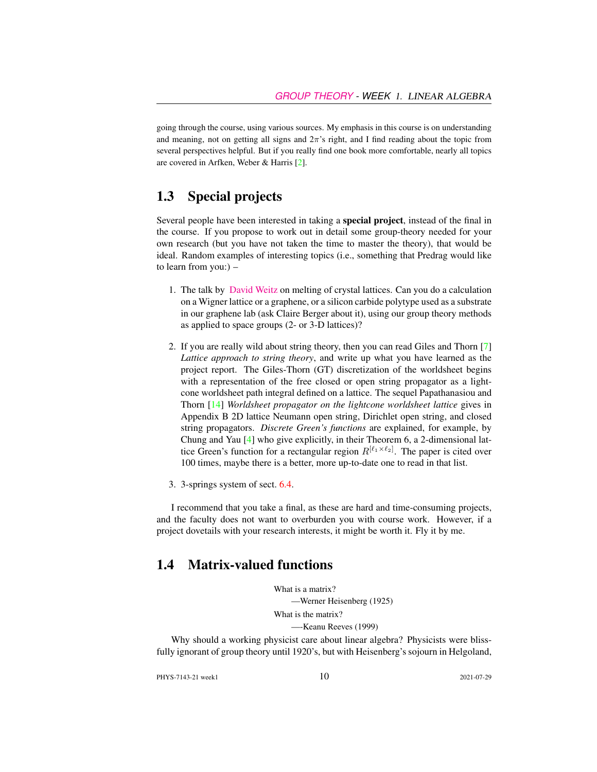going through the course, using various sources. My emphasis in this course is on understanding and meaning, not on getting all signs and  $2\pi$ 's right, and I find reading about the topic from several perspectives helpful. But if you really find one book more comfortable, nearly all topics are covered in Arfken, Weber & Harris [\[2\]](#page-15-0).

#### 1.3 Special projects

Several people have been interested in taking a special project, instead of the final in the course. If you propose to work out in detail some group-theory needed for your own research (but you have not taken the time to master the theory), that would be ideal. Random examples of interesting topics (i.e., something that Predrag would like to learn from you:) –

- 1. The talk by [David Weitz](http://www.physics.gatech.edu/event/soft-matter-incubator-smi-distinguished-lecture-series) on melting of crystal lattices. Can you do a calculation on a Wigner lattice or a graphene, or a silicon carbide polytype used as a substrate in our graphene lab (ask Claire Berger about it), using our group theory methods as applied to space groups (2- or 3-D lattices)?
- 2. If you are really wild about string theory, then you can read Giles and Thorn [\[7\]](#page-15-3) *Lattice approach to string theory*, and write up what you have learned as the project report. The Giles-Thorn (GT) discretization of the worldsheet begins with a representation of the free closed or open string propagator as a lightcone worldsheet path integral defined on a lattice. The sequel Papathanasiou and Thorn [\[14\]](#page-16-4) *Worldsheet propagator on the lightcone worldsheet lattice* gives in Appendix B 2D lattice Neumann open string, Dirichlet open string, and closed string propagators. *Discrete Green's functions* are explained, for example, by Chung and Yau [\[4\]](#page-15-4) who give explicitly, in their Theorem 6, a 2-dimensional lattice Green's function for a rectangular region  $R^{[\ell_1 \times \ell_2]}$ . The paper is cited over 100 times, maybe there is a better, more up-to-date one to read in that list.
- 3. 3-springs system of sect. 6.4.

I recommend that you take a final, as these are hard and time-consuming projects, and the faculty does not want to overburden you with course work. However, if a project dovetails with your research interests, it might be worth it. Fly it by me.

#### <span id="page-3-0"></span>1.4 Matrix-valued functions

What is a matrix? —Werner Heisenberg (1925) What is the matrix? —-Keanu Reeves (1999)

Why should a working physicist care about linear algebra? Physicists were blissfully ignorant of group theory until 1920's, but with Heisenberg's sojourn in Helgoland,

PHYS-7143-21 week1 2021-07-29 2021-07-29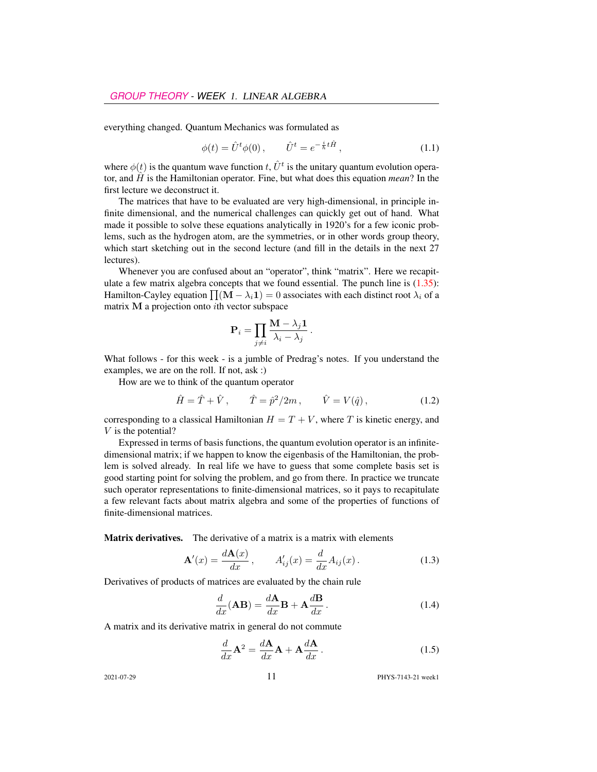everything changed. Quantum Mechanics was formulated as

<span id="page-4-0"></span>
$$
\phi(t) = \hat{U}^t \phi(0), \qquad \hat{U}^t = e^{-\frac{i}{\hbar}t\hat{H}}, \tag{1.1}
$$

where  $\phi(t)$  is the quantum wave function t,  $\hat{U}^t$  is the unitary quantum evolution operator, and  $\hat{H}$  is the Hamiltonian operator. Fine, but what does this equation *mean*? In the first lecture we deconstruct it.

The matrices that have to be evaluated are very high-dimensional, in principle infinite dimensional, and the numerical challenges can quickly get out of hand. What made it possible to solve these equations analytically in 1920's for a few iconic problems, such as the hydrogen atom, are the symmetries, or in other words group theory, which start sketching out in the second lecture (and fill in the details in the next 27 lectures).

Whenever you are confused about an "operator", think "matrix". Here we recapitulate a few matrix algebra concepts that we found essential. The punch line is  $(1.35)$ : Hamilton-Cayley equation  $\prod (\mathbf{M} - \lambda_i \mathbf{1}) = 0$  associates with each distinct root  $\lambda_i$  of a matrix M a projection onto ith vector subspace

$$
\mathbf{P}_i = \prod_{j \neq i} \frac{\mathbf{M} - \lambda_j \mathbf{1}}{\lambda_i - \lambda_j}.
$$

What follows - for this week - is a jumble of Predrag's notes. If you understand the examples, we are on the roll. If not, ask :)

How are we to think of the quantum operator

$$
\hat{H} = \hat{T} + \hat{V}, \qquad \hat{T} = \hat{p}^2 / 2m, \qquad \hat{V} = V(\hat{q}),
$$
\n(1.2)

corresponding to a classical Hamiltonian  $H = T + V$ , where T is kinetic energy, and V is the potential?

Expressed in terms of basis functions, the quantum evolution operator is an infinitedimensional matrix; if we happen to know the eigenbasis of the Hamiltonian, the problem is solved already. In real life we have to guess that some complete basis set is good starting point for solving the problem, and go from there. In practice we truncate such operator representations to finite-dimensional matrices, so it pays to recapitulate a few relevant facts about matrix algebra and some of the properties of functions of finite-dimensional matrices.

Matrix derivatives. The derivative of a matrix is a matrix with elements

$$
\mathbf{A}'(x) = \frac{d\mathbf{A}(x)}{dx}, \qquad A'_{ij}(x) = \frac{d}{dx}A_{ij}(x). \tag{1.3}
$$

Derivatives of products of matrices are evaluated by the chain rule

$$
\frac{d}{dx}(\mathbf{AB}) = \frac{d\mathbf{A}}{dx}\mathbf{B} + \mathbf{A}\frac{d\mathbf{B}}{dx}.
$$
\n(1.4)

A matrix and its derivative matrix in general do not commute

$$
\frac{d}{dx}\mathbf{A}^2 = \frac{d\mathbf{A}}{dx}\mathbf{A} + \mathbf{A}\frac{d\mathbf{A}}{dx}.
$$
\n(1.5)

2021-07-29 **11** PHYS-7143-21 week1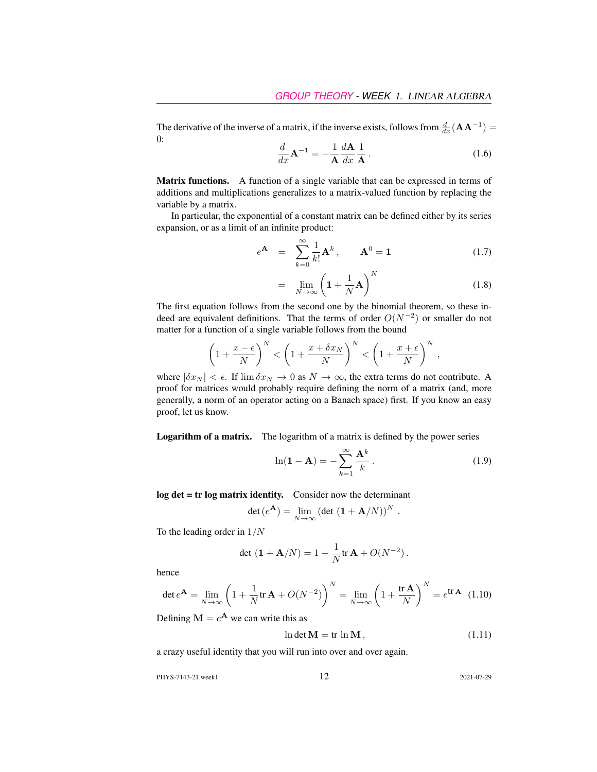The derivative of the inverse of a matrix, if the inverse exists, follows from  $\frac{d}{dx}(\mathbf{A}\mathbf{A}^{-1}) =$ 0:

$$
\frac{d}{dx}\mathbf{A}^{-1} = -\frac{1}{\mathbf{A}}\frac{d\mathbf{A}}{dx}\frac{1}{\mathbf{A}}.
$$
\n(1.6)

Matrix functions. A function of a single variable that can be expressed in terms of additions and multiplications generalizes to a matrix-valued function by replacing the variable by a matrix.

In particular, the exponential of a constant matrix can be defined either by its series expansion, or as a limit of an infinite product:

<span id="page-5-0"></span>
$$
e^{\mathbf{A}} = \sum_{k=0}^{\infty} \frac{1}{k!} \mathbf{A}^{k}, \qquad \mathbf{A}^{0} = \mathbf{1}
$$
 (1.7)

$$
= \lim_{N \to \infty} \left( 1 + \frac{1}{N} \mathbf{A} \right)^N \tag{1.8}
$$

The first equation follows from the second one by the binomial theorem, so these indeed are equivalent definitions. That the terms of order  $O(N^{-2})$  or smaller do not matter for a function of a single variable follows from the bound

$$
\left(1+\frac{x-\epsilon}{N}\right)^N < \left(1+\frac{x+\delta x_N}{N}\right)^N < \left(1+\frac{x+\epsilon}{N}\right)^N,
$$

where  $|\delta x_N| < \epsilon$ . If  $\lim \delta x_N \to 0$  as  $N \to \infty$ , the extra terms do not contribute. A proof for matrices would probably require defining the norm of a matrix (and, more generally, a norm of an operator acting on a Banach space) first. If you know an easy proof, let us know.

Logarithm of a matrix. The logarithm of a matrix is defined by the power series

$$
\ln(\mathbf{1} - \mathbf{A}) = -\sum_{k=1}^{\infty} \frac{\mathbf{A}^k}{k}.
$$
 (1.9)

log det = tr log matrix identity. Consider now the determinant

$$
\det(e^{\mathbf{A}}) = \lim_{N \to \infty} \left( \det \left( \mathbf{1} + \mathbf{A}/N \right) \right)^N.
$$

To the leading order in  $1/N$ 

$$
\det (1 + A/N) = 1 + \frac{1}{N} tr A + O(N^{-2}).
$$

hence

$$
\det e^{\mathbf{A}} = \lim_{N \to \infty} \left( 1 + \frac{1}{N} \text{tr} \, \mathbf{A} + O(N^{-2}) \right)^N = \lim_{N \to \infty} \left( 1 + \frac{\text{tr} \, \mathbf{A}}{N} \right)^N = e^{\text{tr} \, \mathbf{A}} \tag{1.10}
$$

Defining 
$$
M = e^{A}
$$
 we can write this as

$$
\ln \det \mathbf{M} = \text{tr} \ln \mathbf{M},\tag{1.11}
$$

a crazy useful identity that you will run into over and over again.

PHYS-7143-21 week1 2021-07-29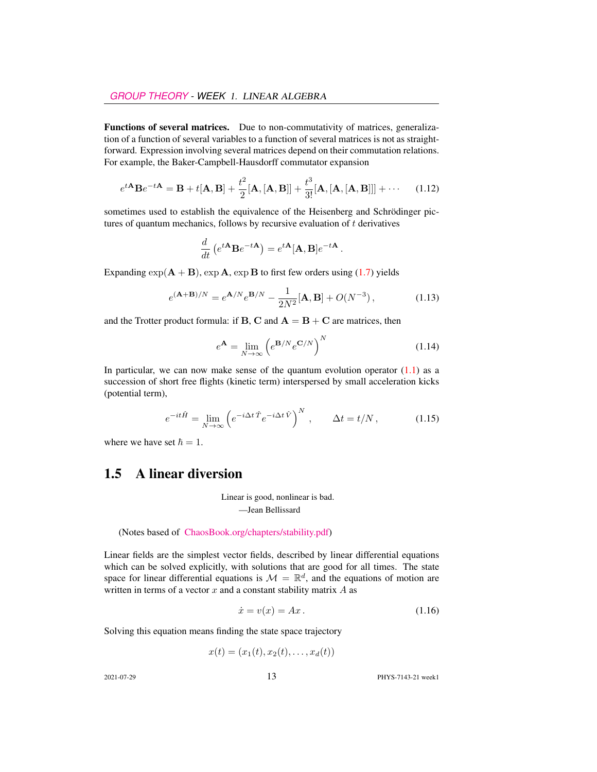Functions of several matrices. Due to non-commutativity of matrices, generalization of a function of several variables to a function of several matrices is not as straightforward. Expression involving several matrices depend on their commutation relations. For example, the Baker-Campbell-Hausdorff commutator expansion

$$
e^{t\mathbf{A}}\mathbf{B}e^{-t\mathbf{A}} = \mathbf{B} + t[\mathbf{A}, \mathbf{B}] + \frac{t^2}{2}[\mathbf{A}, [\mathbf{A}, \mathbf{B}]] + \frac{t^3}{3!}[\mathbf{A}, [\mathbf{A}, [\mathbf{A}, \mathbf{B}]]] + \cdots \quad (1.12)
$$

sometimes used to establish the equivalence of the Heisenberg and Schrödinger pictures of quantum mechanics, follows by recursive evaluation of  $t$  derivatives

$$
\frac{d}{dt}\left(e^{t\mathbf{A}}\mathbf{B}e^{-t\mathbf{A}}\right) = e^{t\mathbf{A}}[\mathbf{A},\mathbf{B}]e^{-t\mathbf{A}}.
$$

Expanding  $\exp(A + B)$ ,  $\exp A$ ,  $\exp B$  to first few orders using [\(1.7\)](#page-5-0) yields

$$
e^{(A+B)/N} = e^{A/N} e^{B/N} - \frac{1}{2N^2} [A, B] + O(N^{-3}), \qquad (1.13)
$$

and the Trotter product formula: if **B**, **C** and  $A = B + C$  are matrices, then

$$
e^{\mathbf{A}} = \lim_{N \to \infty} \left( e^{\mathbf{B}/N} e^{\mathbf{C}/N} \right)^N \tag{1.14}
$$

In particular, we can now make sense of the quantum evolution operator  $(1.1)$  as a succession of short free flights (kinetic term) interspersed by small acceleration kicks (potential term),

$$
e^{-it\hat{H}} = \lim_{N \to \infty} \left( e^{-i\Delta t \hat{T}} e^{-i\Delta t \hat{V}} \right)^N, \qquad \Delta t = t/N, \qquad (1.15)
$$

where we have set  $\hbar = 1$ .

#### <span id="page-6-0"></span>1.5 A linear diversion

Linear is good, nonlinear is bad. —Jean Bellissard

(Notes based of [ChaosBook.org/chapters/stability.pdf\)](http://ChaosBook.org/chapters/stability.pdf)

Linear fields are the simplest vector fields, described by linear differential equations which can be solved explicitly, with solutions that are good for all times. The state space for linear differential equations is  $\mathcal{M} = \mathbb{R}^d$ , and the equations of motion are written in terms of a vector  $x$  and a constant stability matrix  $A$  as

<span id="page-6-1"></span>
$$
\dot{x} = v(x) = Ax. \tag{1.16}
$$

Solving this equation means finding the state space trajectory

$$
x(t) = (x_1(t), x_2(t), \dots, x_d(t))
$$

2021-07-29 13 PHYS-7143-21 week1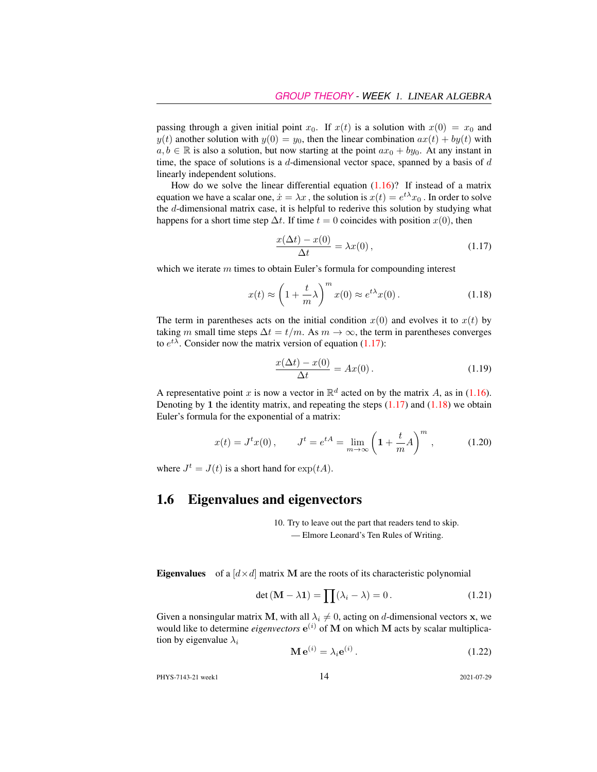passing through a given initial point  $x_0$ . If  $x(t)$  is a solution with  $x(0) = x_0$  and  $y(t)$  another solution with  $y(0) = y_0$ , then the linear combination  $ax(t) + by(t)$  with  $a, b \in \mathbb{R}$  is also a solution, but now starting at the point  $ax_0 + by_0$ . At any instant in time, the space of solutions is a  $d$ -dimensional vector space, spanned by a basis of  $d$ linearly independent solutions.

How do we solve the linear differential equation  $(1.16)$ ? If instead of a matrix equation we have a scalar one,  $\dot{x} = \lambda x$  , the solution is  $x(t) = e^{t\lambda}x_0$  . In order to solve the d-dimensional matrix case, it is helpful to rederive this solution by studying what happens for a short time step  $\Delta t$ . If time  $t = 0$  coincides with position  $x(0)$ , then

<span id="page-7-1"></span>
$$
\frac{x(\Delta t) - x(0)}{\Delta t} = \lambda x(0),\tag{1.17}
$$

which we iterate  $m$  times to obtain Euler's formula for compounding interest

<span id="page-7-2"></span>
$$
x(t) \approx \left(1 + \frac{t}{m}\lambda\right)^m x(0) \approx e^{t\lambda} x(0).
$$
 (1.18)

The term in parentheses acts on the initial condition  $x(0)$  and evolves it to  $x(t)$  by taking m small time steps  $\Delta t = t/m$ . As  $m \to \infty$ , the term in parentheses converges to  $e^{t\lambda}$ . Consider now the matrix version of equation [\(1.17\)](#page-7-1):

$$
\frac{x(\Delta t) - x(0)}{\Delta t} = Ax(0). \tag{1.19}
$$

A representative point x is now a vector in  $\mathbb{R}^d$  acted on by the matrix A, as in [\(1.16\)](#page-6-1). Denoting by 1 the identity matrix, and repeating the steps  $(1.17)$  and  $(1.18)$  we obtain Euler's formula for the exponential of a matrix:

$$
x(t) = Jt x(0), \t Jt = etA = \lim_{m \to \infty} \left( 1 + \frac{t}{m} A \right)^m, \t (1.20)
$$

where  $J^t = J(t)$  is a short hand for  $\exp(tA)$ .

#### <span id="page-7-0"></span>1.6 Eigenvalues and eigenvectors

10. Try to leave out the part that readers tend to skip. — Elmore Leonard's Ten Rules of Writing.

**Eigenvalues** of a  $[d \times d]$  matrix **M** are the roots of its characteristic polynomial

<span id="page-7-4"></span>
$$
\det\left(\mathbf{M} - \lambda \mathbf{1}\right) = \prod(\lambda_i - \lambda) = 0. \tag{1.21}
$$

Given a nonsingular matrix M, with all  $\lambda_i \neq 0$ , acting on d-dimensional vectors x, we would like to determine *eigenvectors*  $e^{(i)}$  of M on which M acts by scalar multiplication by eigenvalue  $\lambda_i$ 

<span id="page-7-3"></span>
$$
\mathbf{M}\,\mathbf{e}^{(i)} = \lambda_i \mathbf{e}^{(i)}\,. \tag{1.22}
$$

PHYS-7143-21 week1 2021-07-29 2021-07-29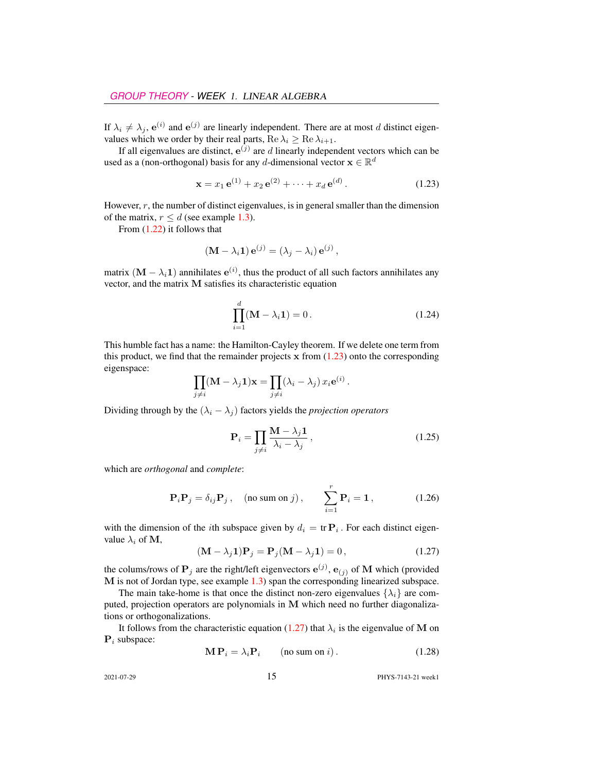If  $\lambda_i \neq \lambda_j$ ,  $e^{(i)}$  and  $e^{(j)}$  are linearly independent. There are at most d distinct eigenvalues which we order by their real parts, Re  $\lambda_i \geq \text{Re }\lambda_{i+1}$ .

If all eigenvalues are distinct,  $e^{(j)}$  are d linearly independent vectors which can be used as a (non-orthogonal) basis for any d-dimensional vector  $\mathbf{x} \in \mathbb{R}^d$ 

<span id="page-8-1"></span>
$$
\mathbf{x} = x_1 \,\mathbf{e}^{(1)} + x_2 \,\mathbf{e}^{(2)} + \dots + x_d \,\mathbf{e}^{(d)}.
$$
 (1.23)

However, r, the number of distinct eigenvalues, is in general smaller than the dimension of the matrix,  $r \leq d$  (see example [1.3\)](#page-10-0).

From [\(1.22\)](#page-7-3) it follows that

$$
(\mathbf{M} - \lambda_i \mathbf{1}) \mathbf{e}^{(j)} = (\lambda_j - \lambda_i) \mathbf{e}^{(j)},
$$

matrix  $(M - \lambda_i 1)$  annihilates  $e^{(i)}$ , thus the product of all such factors annihilates any vector, and the matrix M satisfies its characteristic equation

<span id="page-8-3"></span>
$$
\prod_{i=1}^{d} (\mathbf{M} - \lambda_i \mathbf{1}) = 0.
$$
 (1.24)

.

This humble fact has a name: the Hamilton-Cayley theorem. If we delete one term from this product, we find that the remainder projects  $x$  from  $(1.23)$  onto the corresponding eigenspace:

$$
\prod_{j \neq i} (\mathbf{M} - \lambda_j \mathbf{1}) \mathbf{x} = \prod_{j \neq i} (\lambda_i - \lambda_j) x_i e^{(i)}
$$

Dividing through by the  $(\lambda_i - \lambda_j)$  factors yields the *projection operators* 

$$
\mathbf{P}_{i} = \prod_{j \neq i} \frac{\mathbf{M} - \lambda_{j} \mathbf{1}}{\lambda_{i} - \lambda_{j}},\tag{1.25}
$$

which are *orthogonal* and *complete*:

<span id="page-8-2"></span>
$$
\mathbf{P}_{i}\mathbf{P}_{j} = \delta_{ij}\mathbf{P}_{j}, \quad \text{(no sum on } j), \qquad \sum_{i=1}^{r} \mathbf{P}_{i} = \mathbf{1}, \tag{1.26}
$$

with the dimension of the *i*th subspace given by  $d_i = \text{tr } \mathbf{P}_i$ . For each distinct eigenvalue  $\lambda_i$  of M,

<span id="page-8-0"></span>
$$
(\mathbf{M} - \lambda_j \mathbf{1}) \mathbf{P}_j = \mathbf{P}_j (\mathbf{M} - \lambda_j \mathbf{1}) = 0, \qquad (1.27)
$$

the colums/rows of  $P_j$  are the right/left eigenvectors  $e^{(j)}$ ,  $e_{(j)}$  of M which (provided M is not of Jordan type, see example [1.3\)](#page-10-0) span the corresponding linearized subspace.

The main take-home is that once the distinct non-zero eigenvalues  $\{\lambda_i\}$  are computed, projection operators are polynomials in M which need no further diagonalizations or orthogonalizations.

It follows from the characteristic equation [\(1.27\)](#page-8-0) that  $\lambda_i$  is the eigenvalue of M on  $P_i$  subspace:

$$
\mathbf{MP}_i = \lambda_i \mathbf{P}_i \qquad \text{(no sum on } i\text{)}.
$$
 (1.28)

2021-07-29 **15** PHYS-7143-21 weekl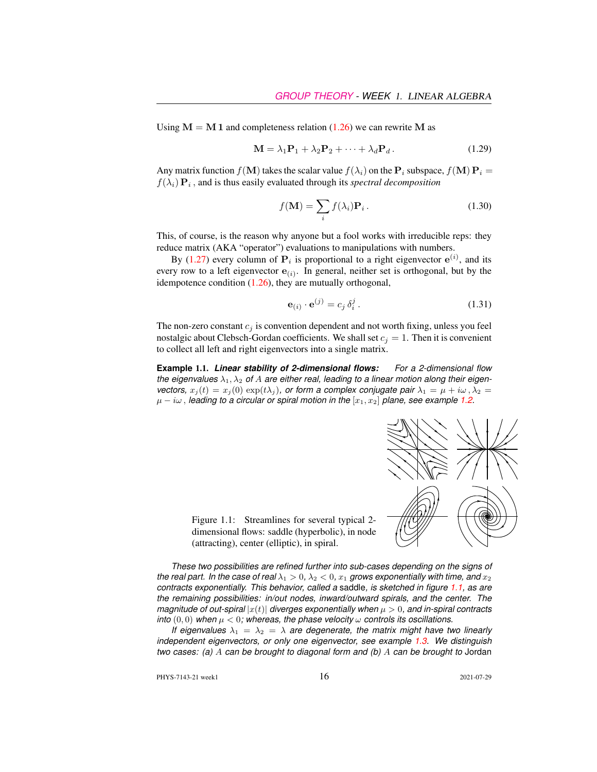Using  $M = M 1$  and completeness relation [\(1.26\)](#page-8-2) we can rewrite M as

<span id="page-9-3"></span>
$$
\mathbf{M} = \lambda_1 \mathbf{P}_1 + \lambda_2 \mathbf{P}_2 + \dots + \lambda_d \mathbf{P}_d.
$$
 (1.29)

Any matrix function  $f(\mathbf{M})$  takes the scalar value  $f(\lambda_i)$  on the  $\mathbf{P}_i$  subspace,  $f(\mathbf{M}) \mathbf{P}_i =$  $f(\lambda_i) \mathbf{P}_i$ , and is thus easily evaluated through its *spectral decomposition* 

<span id="page-9-0"></span>
$$
f(\mathbf{M}) = \sum_{i} f(\lambda_i) \mathbf{P}_i.
$$
 (1.30)

This, of course, is the reason why anyone but a fool works with irreducible reps: they reduce matrix (AKA "operator") evaluations to manipulations with numbers.

By [\(1.27\)](#page-8-0) every column of  $P_i$  is proportional to a right eigenvector  $e^{(i)}$ , and its every row to a left eigenvector  $e_{(i)}$ . In general, neither set is orthogonal, but by the idempotence condition [\(1.26\)](#page-8-2), they are mutually orthogonal,

<span id="page-9-2"></span>
$$
\mathbf{e}_{(i)} \cdot \mathbf{e}^{(j)} = c_j \, \delta_i^j \,. \tag{1.31}
$$

The non-zero constant  $c_i$  is convention dependent and not worth fixing, unless you feel nostalgic about Clebsch-Gordan coefficients. We shall set  $c_j = 1$ . Then it is convenient to collect all left and right eigenvectors into a single matrix.

**Example** 1.1. *Linear stability of 2-dimensional flows: For a 2-dimensional flow* the eigenvalues  $\lambda_1, \lambda_2$  of A are either real, leading to a linear motion along their eigen*vectors,*  $x_j(t) = x_j(0) \exp(t\lambda_j)$ , or form a complex conjugate pair  $\lambda_1 = \mu + i\omega$ ,  $\lambda_2 =$  $\mu - i\omega$ , leading to a circular or spiral motion in the  $[x_1, x_2]$  plane, see example [1.2.](#page-10-1)



<span id="page-9-1"></span>Figure 1.1: Streamlines for several typical 2 dimensional flows: saddle (hyperbolic), in node (attracting), center (elliptic), in spiral.

*These two possibilities are refined further into sub-cases depending on the signs of the real part. In the case of real*  $\lambda_1 > 0$ ,  $\lambda_2 < 0$ ,  $x_1$  *grows exponentially with time, and*  $x_2$ *contracts exponentially. This behavior, called a* saddle*, is sketched in figure [1.1,](#page-9-1) as are the remaining possibilities: in/out nodes, inward/outward spirals, and the center. The magnitude of out-spiral*  $|x(t)|$  *diverges exponentially when*  $\mu > 0$ , and in-spiral contracts *into*  $(0,0)$  *when*  $\mu < 0$ *; whereas, the phase velocity*  $\omega$  *controls its oscillations.* 

*If eigenvalues*  $\lambda_1 = \lambda_2 = \lambda$  *are degenerate, the matrix might have two linearly independent eigenvectors, or only one eigenvector, see example [1.3.](#page-10-0) We distinguish two cases: (a)* A *can be brought to diagonal form and (b)* A *can be brought to* Jordan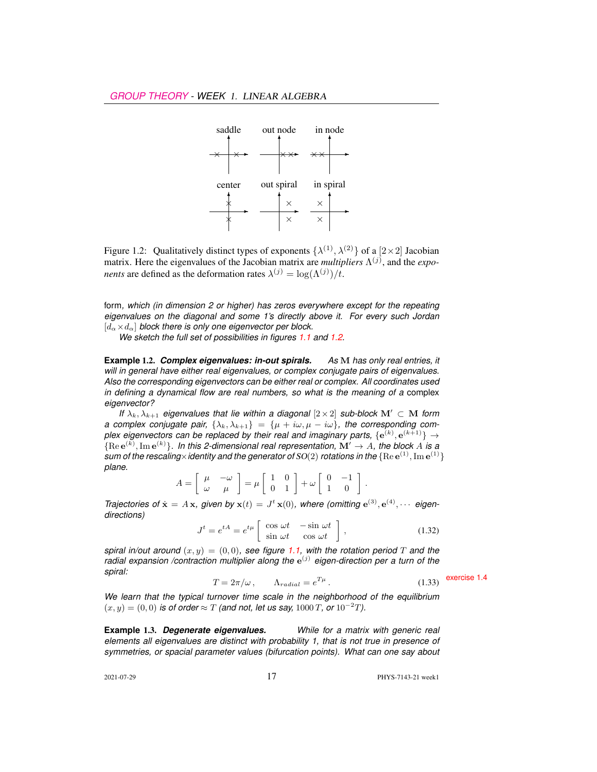

<span id="page-10-2"></span>Figure 1.2: Qualitatively distinct types of exponents  $\{\lambda^{(1)},\lambda^{(2)}\}$  of a  $[2\times2]$  Jacobian matrix. Here the eigenvalues of the Jacobian matrix are *multipliers*  $\Lambda^{(j)}$ , and the *exponents* are defined as the deformation rates  $\lambda^{(j)} = \log(\Lambda^{(j)})/t$ .

form*, which (in dimension 2 or higher) has zeros everywhere except for the repeating eigenvalues on the diagonal and some 1's directly above it. For every such Jordan*  $[d_{\alpha} \times d_{\alpha}]$  *block there is only one eigenvector per block.* 

*We sketch the full set of possibilities in figures [1.1](#page-9-1) and [1.2.](#page-10-2)*

<span id="page-10-1"></span>**Example** 1.2. *Complex eigenvalues: in-out spirals. As* M *has only real entries, it will in general have either real eigenvalues, or complex conjugate pairs of eigenvalues. Also the corresponding eigenvectors can be either real or complex. All coordinates used in defining a dynamical flow are real numbers, so what is the meaning of a* complex *eigenvector?*

*If*  $\lambda_k, \lambda_{k+1}$  *eigenvalues that lie within a diagonal* [2×2] *sub-block*  $M' \subset M$  *form a complex conjugate pair,*  $\{\lambda_k, \lambda_{k+1}\} = \{\mu + i\omega, \mu - i\omega\}$ , the corresponding complex eigenvectors can be replaced by their real and imaginary parts,  $\{{\bf e}^{(k)},{\bf e}^{(k+1)}\}\rightarrow$  ${Re}e^{(k)}, Im e^{(k)}\}$ . In this 2-dimensional real representation,  $\mathbf{M}' \to A$ , the block A is a sum of the rescaling $\times$ identity and the generator of SO(2) rotations in the  $\{ \rm{Re}\, e^{(1)}, \rm{Im}\, e^{(1)} \}$ *plane.*

$$
A = \left[ \begin{array}{cc} \mu & -\omega \\ \omega & \mu \end{array} \right] = \mu \left[ \begin{array}{cc} 1 & 0 \\ 0 & 1 \end{array} \right] + \omega \left[ \begin{array}{cc} 0 & -1 \\ 1 & 0 \end{array} \right].
$$

*Trajectories of*  $\dot{\mathbf{x}} = A\mathbf{x}$ , given by  $\mathbf{x}(t) = J^t \mathbf{x}(0)$ , where (omitting  $e^{(3)}$ ,  $e^{(4)}$ ,  $\cdots$  eigen*directions)*

$$
J^{t} = e^{tA} = e^{t\mu} \begin{bmatrix} \cos \omega t & -\sin \omega t \\ \sin \omega t & \cos \omega t \end{bmatrix},
$$
 (1.32)

*spiral in/out around*  $(x, y) = (0, 0)$ *, see figure* [1.1,](#page-9-1) with the rotation period T and the radial expansion /contraction multiplier along the  $e^{(j)}$  eigen-direction per a turn of the *spiral:*  $T = 2\pi/\omega$ ,  $\Lambda_{radial} = e^{T\mu}$ . (1.33) exercise [1.4](#page-16-5)

$$
T = 2\pi/\omega, \qquad \Lambda_{radial} = e^{T\mu}.
$$
 (1.33) **exercise**

*We learn that the typical turnover time scale in the neighborhood of the equilibrium*  $(x, y) = (0, 0)$  *is of order* ≈ T *(and not, let us say, 1000 T, or* 10<sup>-2</sup>*T)*.

<span id="page-10-0"></span>**Example** 1.3. *Degenerate eigenvalues. While for a matrix with generic real elements all eigenvalues are distinct with probability 1, that is not true in presence of symmetries, or spacial parameter values (bifurcation points). What can one say about*

2021-07-29 17 PHYS-7143-21 week1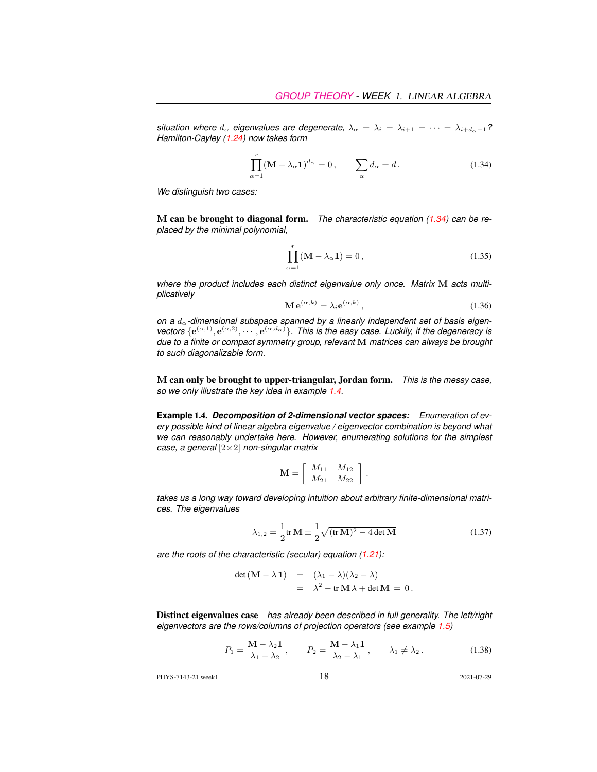*situation where*  $d_{\alpha}$  *eigenvalues are degenerate,*  $\lambda_{\alpha} = \lambda_i = \lambda_{i+1} = \cdots = \lambda_{i+d_{\alpha}-1}$ ? *Hamilton-Cayley [\(1.24\)](#page-8-3) now takes form*

<span id="page-11-1"></span>
$$
\prod_{\alpha=1}^{r} (\mathbf{M} - \lambda_{\alpha} \mathbf{1})^{d_{\alpha}} = 0, \qquad \sum_{\alpha} d_{\alpha} = d. \tag{1.34}
$$

*We distinguish two cases:*

M can be brought to diagonal form. *The characteristic equation [\(1.34\)](#page-11-1) can be replaced by the minimal polynomial,*

<span id="page-11-0"></span>
$$
\prod_{\alpha=1}^{r} (\mathbf{M} - \lambda_{\alpha} \mathbf{1}) = 0, \qquad (1.35)
$$

where the product includes each distinct eigenvalue only once. Matrix M acts multi*plicatively*

$$
\mathbf{M} \,\mathbf{e}^{(\alpha,k)} = \lambda_i \mathbf{e}^{(\alpha,k)},\tag{1.36}
$$

on a  $d_{\alpha}$ -dimensional subspace spanned by a linearly independent set of basis eigenvectors  $\{e^{(\alpha,1)}, e^{(\alpha,2)}, \cdots, e^{(\alpha,d_\alpha)}\}$ . This is the easy case. Luckily, if the degeneracy is *due to a finite or compact symmetry group, relevant* M *matrices can always be brought to such diagonalizable form.*

M can only be brought to upper-triangular, Jordan form. *This is the messy case, so we only illustrate the key idea in example [1.4.](#page-11-2)*

<span id="page-11-2"></span>**Example** 1.4. *Decomposition of 2-dimensional vector spaces: Enumeration of every possible kind of linear algebra eigenvalue / eigenvector combination is beyond what we can reasonably undertake here. However, enumerating solutions for the simplest case, a general* [2×2] *non-singular matrix*

$$
\mathbf{M} = \left[ \begin{array}{cc} M_{11} & M_{12} \\ M_{21} & M_{22} \end{array} \right].
$$

*takes us a long way toward developing intuition about arbitrary finite-dimensional matrices. The eigenvalues*

<span id="page-11-3"></span>
$$
\lambda_{1,2} = \frac{1}{2} \text{tr} \, \mathbf{M} \pm \frac{1}{2} \sqrt{(\text{tr} \, \mathbf{M})^2 - 4 \det \mathbf{M}}
$$
\n(1.37)

*are the roots of the characteristic (secular) equation [\(1.21\)](#page-7-4):*

<span id="page-11-4"></span>
$$
det (M - \lambda 1) = (\lambda_1 - \lambda)(\lambda_2 - \lambda)
$$
  
=  $\lambda^2 - tr M \lambda + det M = 0.$ 

Distinct eigenvalues case *has already been described in full generality. The left/right eigenvectors are the rows/columns of projection operators (see example [1.5\)](#page-12-0)*

$$
P_1 = \frac{\mathbf{M} - \lambda_2 \mathbf{1}}{\lambda_1 - \lambda_2}, \qquad P_2 = \frac{\mathbf{M} - \lambda_1 \mathbf{1}}{\lambda_2 - \lambda_1}, \qquad \lambda_1 \neq \lambda_2.
$$
 (1.38)

PHYS-7143-21 week1 2021-07-29 2021-07-29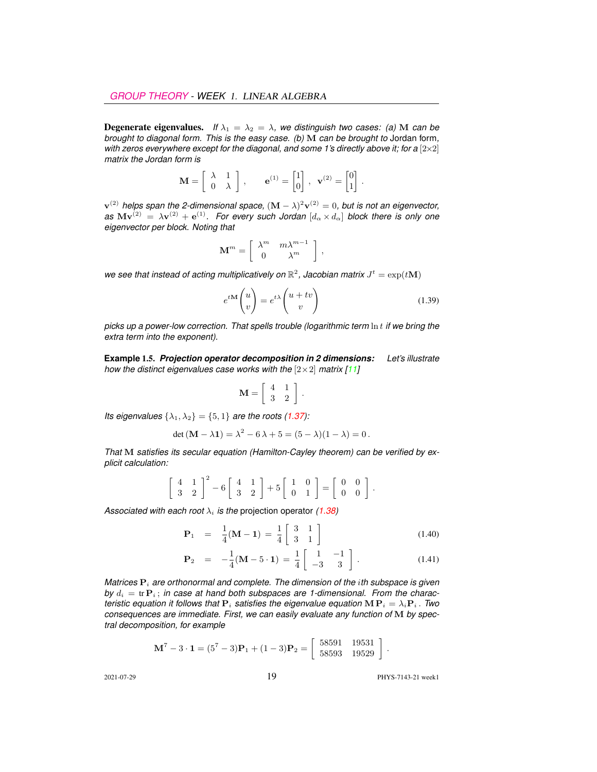**Degenerate eigenvalues.** *If*  $\lambda_1 = \lambda_2 = \lambda$ *, we distinguish two cases: (a)* M *can be brought to diagonal form. This is the easy case. (b)* M *can be brought to* Jordan form*, with zeros everywhere except for the diagonal, and some 1's directly above it; for a*  $[2 \times 2]$ *matrix the Jordan form is*

$$
\mathbf{M} = \begin{bmatrix} \lambda & 1 \\ 0 & \lambda \end{bmatrix}, \qquad \mathbf{e}^{(1)} = \begin{bmatrix} 1 \\ 0 \end{bmatrix}, \ \mathbf{v}^{(2)} = \begin{bmatrix} 0 \\ 1 \end{bmatrix}
$$

 ${\bf v}^{(2)}$  helps span the 2-dimensional space,  $({\bf M}-\lambda)^2{\bf v}^{(2)}=0,$  but is not an eigenvector,  $a$ s  $Mv^{(2)} = \lambda v^{(2)} + e^{(1)}$ . For every such Jordan  $[d_\alpha \times d_\alpha]$  block there is only one *eigenvector per block. Noting that*

$$
\mathbf{M}^m = \left[ \begin{array}{cc} \lambda^m & m \lambda^{m-1} \\ 0 & \lambda^m \end{array} \right] \,,
$$

we see that instead of acting multiplicatively on  $\mathbb{R}^2$ , Jacobian matrix  $J^t = \exp(t\mathbf{M})$ 

$$
e^{t\mathbf{M}}\begin{pmatrix} u \\ v \end{pmatrix} = e^{t\lambda} \begin{pmatrix} u + tv \\ v \end{pmatrix}
$$
 (1.39)

.

*picks up a power-low correction. That spells trouble (logarithmic term* ln t *if we bring the extra term into the exponent).*

<span id="page-12-0"></span>**Example** 1.5. *Projection operator decomposition in 2 dimensions: Let's illustrate how the distinct eigenvalues case works with the*  $[2 \times 2]$  *matrix [\[11\]](#page-15-5)* 

$$
\mathbf{M} = \left[ \begin{array}{cc} 4 & 1 \\ 3 & 2 \end{array} \right] .
$$

*Its eigenvalues*  $\{\lambda_1, \lambda_2\} = \{5, 1\}$  *are the roots [\(1.37\)](#page-11-3):* 

$$
\det (M - \lambda 1) = \lambda^2 - 6\lambda + 5 = (5 - \lambda)(1 - \lambda) = 0.
$$

*That* M *satisfies its secular equation (Hamilton-Cayley theorem) can be verified by explicit calculation:*

$$
\left[\begin{array}{cc}4 & 1\\3 & 2\end{array}\right]^2 - 6\left[\begin{array}{cc}4 & 1\\3 & 2\end{array}\right] + 5\left[\begin{array}{cc}1 & 0\\0 & 1\end{array}\right] = \left[\begin{array}{cc}0 & 0\\0 & 0\end{array}\right].
$$

*Associated with each root*  $\lambda_i$  *is the projection operator [\(1.38\)](#page-11-4)* 

$$
\mathbf{P}_1 = \frac{1}{4}(\mathbf{M} - \mathbf{1}) = \frac{1}{4} \begin{bmatrix} 3 & 1 \\ 3 & 1 \end{bmatrix}
$$
 (1.40)

$$
\mathbf{P}_2 = -\frac{1}{4}(\mathbf{M} - 5 \cdot \mathbf{1}) = \frac{1}{4} \begin{bmatrix} 1 & -1 \\ -3 & 3 \end{bmatrix} . \tag{1.41}
$$

*Matrices*  $P_i$  *are orthonormal and complete. The dimension of the <i>ith subspace is given* by  $d_i = \text{tr } \mathbf{P}_i$ ; *in case at hand both subspaces are 1-dimensional. From the characteristic equation it follows that*  $P_i$  *satisfies the eigenvalue equation*  $MP_i = \lambda_i P_i$ . *Two consequences are immediate. First, we can easily evaluate any function of* M *by spectral decomposition, for example*

$$
\mathbf{M}^7 - 3 \cdot \mathbf{1} = (5^7 - 3)\mathbf{P}_1 + (1 - 3)\mathbf{P}_2 = \begin{bmatrix} 58591 & 19531 \\ 58593 & 19529 \end{bmatrix}.
$$

2021-07-29 19 PHYS-7143-21 week1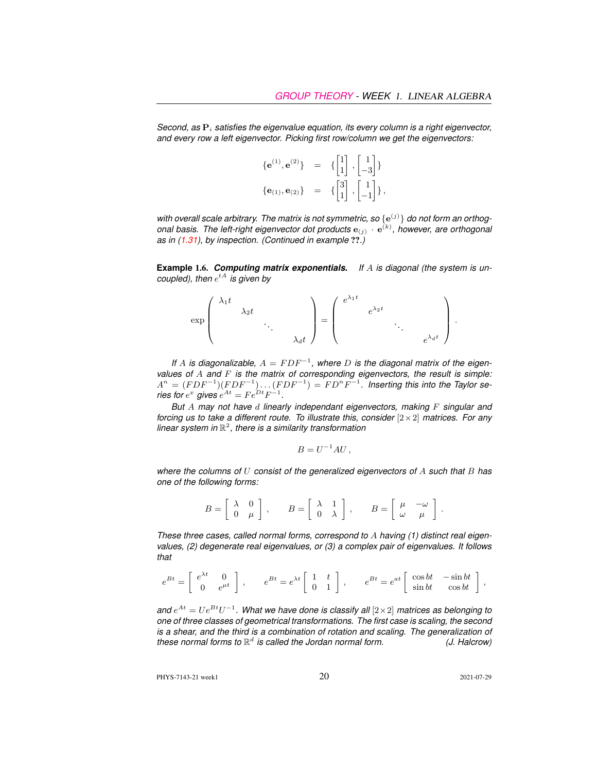*Second, as*  $P_i$  *satisfies the eigenvalue equation, its every column is a right eigenvector, and every row a left eigenvector. Picking first row/column we get the eigenvectors:*

$$
{\bf e}^{(1)}, {\bf e}^{(2)} = {\begin{bmatrix} 1 \\ 1 \end{bmatrix}, \begin{bmatrix} 1 \\ -3 \end{bmatrix}} \n{\bf e}_{(1)}, {\bf e}_{(2)} = {\begin{bmatrix} 3 \\ 1 \end{bmatrix}, \begin{bmatrix} 1 \\ -1 \end{bmatrix}},
$$

with overall scale arbitrary. The matrix is not symmetric, so  $\{e^{(j)}\}$  do not form an orthogonal basis. The left-right eigenvector dot products  ${\bf e}_{(j)}\cdot{\bf e}^{(k)}$ , however, are orthogonal *as in [\(1.31\)](#page-9-2), by inspection. (Continued in example* ??*.)*

**Example** 1.6. *Computing matrix exponentials. If* A *is diagonal (the system is un-* $\mathop{\mathsf{coupled}}\nolimits$ , then  $e^{tA}$  is given by



If A is diagonalizable,  $A = FDF^{-1}$ , where D is the diagonal matrix of the eigen*values of* A *and* F *is the matrix of corresponding eigenvectors, the result is simple:*  $A^n = (FDF^{-1})(FDF^{-1}) \dots (FDF^{-1}) = FD^nF^{-1}.$  Inserting this into the Taylor se*ries for*  $e^x$  gives  $e^{At} = Fe^{Dt}F^{-1}$ .

*But* A *may not have* d *linearly independant eigenvectors, making* F *singular and forcing us to take a different route. To illustrate this, consider* [2×2] *matrices. For any linear system in* R 2 *, there is a similarity transformation*

$$
B = U^{-1}AU,
$$

*where the columns of* U *consist of the generalized eigenvectors of* A *such that* B *has one of the following forms:*

$$
B = \left[ \begin{array}{cc} \lambda & 0 \\ 0 & \mu \end{array} \right], \qquad B = \left[ \begin{array}{cc} \lambda & 1 \\ 0 & \lambda \end{array} \right], \qquad B = \left[ \begin{array}{cc} \mu & -\omega \\ \omega & \mu \end{array} \right].
$$

*These three cases, called normal forms, correspond to* A *having (1) distinct real eigenvalues, (2) degenerate real eigenvalues, or (3) a complex pair of eigenvalues. It follows that*

$$
e^{Bt}=\left[\begin{array}{cc} e^{\lambda t} & 0 \\ 0 & e^{\mu t} \end{array}\right]\,,\qquad e^{Bt}=e^{\lambda t}\left[\begin{array}{cc} 1 & t \\ 0 & 1 \end{array}\right]\,,\qquad e^{Bt}=e^{at}\left[\begin{array}{cc} \cos b t & -\sin b t \\ \sin b t & \cos b t \end{array}\right]\,,
$$

and  $e^{At} = Ue^{Bt}U^{-1}$ . What we have done is classify all  $[2 \times 2]$  matrices as belonging to *one of three classes of geometrical transformations. The first case is scaling, the second is a shear, and the third is a combination of rotation and scaling. The generalization of these normal forms to* R d *is called the Jordan normal form. (J. Halcrow)*

PHYS-7143-21 week1 20 2021-07-29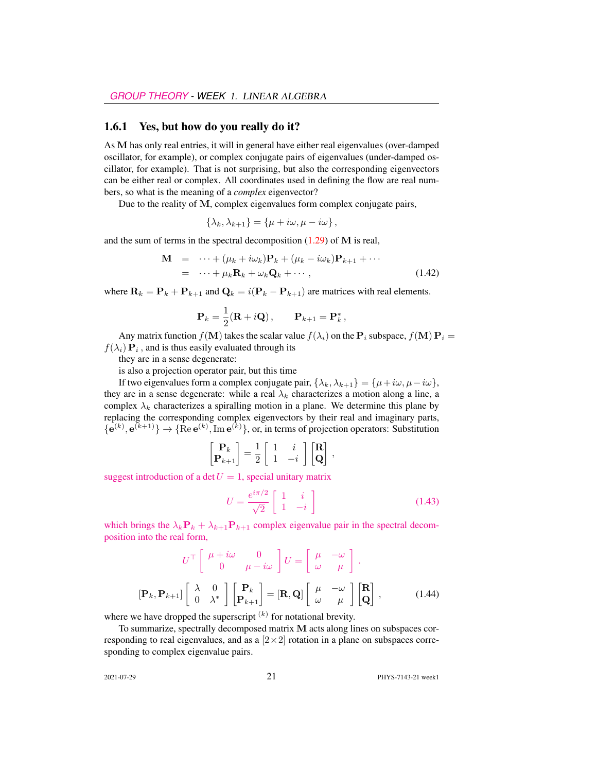#### <span id="page-14-0"></span>1.6.1 Yes, but how do you really do it?

As M has only real entries, it will in general have either real eigenvalues (over-damped oscillator, for example), or complex conjugate pairs of eigenvalues (under-damped oscillator, for example). That is not surprising, but also the corresponding eigenvectors can be either real or complex. All coordinates used in defining the flow are real numbers, so what is the meaning of a *complex* eigenvector?

Due to the reality of M, complex eigenvalues form complex conjugate pairs,

$$
\{\lambda_k, \lambda_{k+1}\} = \{\mu + i\omega, \mu - i\omega\},\
$$

and the sum of terms in the spectral decomposition  $(1.29)$  of M is real,

$$
\mathbf{M} = \cdots + (\mu_k + i\omega_k)\mathbf{P}_k + (\mu_k - i\omega_k)\mathbf{P}_{k+1} + \cdots
$$
  
= \cdots + \mu\_k \mathbf{R}\_k + \omega\_k \mathbf{Q}\_k + \cdots, (1.42)

where  $\mathbf{R}_k = \mathbf{P}_k + \mathbf{P}_{k+1}$  and  $\mathbf{Q}_k = i(\mathbf{P}_k - \mathbf{P}_{k+1})$  are matrices with real elements.

$$
\mathbf{P}_k = \frac{1}{2}(\mathbf{R} + i\mathbf{Q}), \qquad \mathbf{P}_{k+1} = \mathbf{P}_k^*,
$$

Any matrix function  $f(\mathbf{M})$  takes the scalar value  $f(\lambda_i)$  on the  $\mathbf{P}_i$  subspace,  $f(\mathbf{M}) \mathbf{P}_i =$  $f(\lambda_i) \mathbf{P}_i$ , and is thus easily evaluated through its

they are in a sense degenerate:

is also a projection operator pair, but this time

If two eigenvalues form a complex conjugate pair,  $\{\lambda_k, \lambda_{k+1}\} = \{\mu + i\omega, \mu - i\omega\},\$ they are in a sense degenerate: while a real  $\lambda_k$  characterizes a motion along a line, a complex  $\lambda_k$  characterizes a spiralling motion in a plane. We determine this plane by replacing the corresponding complex eigenvectors by their real and imaginary parts,  ${e^{(k)}, e^{(k+1)}} \rightarrow {Re e^{(k)}, Im e^{(k)}}$ , or, in terms of projection operators: Substitution

$$
\begin{bmatrix} \mathbf{P}_k \\ \mathbf{P}_{k+1} \end{bmatrix} = \frac{1}{2} \begin{bmatrix} 1 & i \\ 1 & -i \end{bmatrix} \begin{bmatrix} \mathbf{R} \\ \mathbf{Q} \end{bmatrix},
$$

suggest introduction of a det  $U = 1$ , special unitary matrix

$$
U = \frac{e^{i\pi/2}}{\sqrt{2}} \begin{bmatrix} 1 & i \\ 1 & -i \end{bmatrix}
$$
 (1.43)

which brings the  $\lambda_k \mathbf{P}_k + \lambda_{k+1} \mathbf{P}_{k+1}$  complex eigenvalue pair in the spectral decomposition into the real form,

$$
U^{\top} \begin{bmatrix} \mu + i\omega & 0 \\ 0 & \mu - i\omega \end{bmatrix} U = \begin{bmatrix} \mu & -\omega \\ \omega & \mu \end{bmatrix}.
$$

$$
[\mathbf{P}_k, \mathbf{P}_{k+1}] \begin{bmatrix} \lambda & 0 \\ 0 & \lambda^* \end{bmatrix} \begin{bmatrix} \mathbf{P}_k \\ \mathbf{P}_{k+1} \end{bmatrix} = [\mathbf{R}, \mathbf{Q}] \begin{bmatrix} \mu & -\omega \\ \omega & \mu \end{bmatrix} \begin{bmatrix} \mathbf{R} \\ \mathbf{Q} \end{bmatrix},
$$
(1.44)

where we have dropped the superscript  $(k)$  for notational brevity.

To summarize, spectrally decomposed matrix M acts along lines on subspaces corresponding to real eigenvalues, and as a  $[2\times 2]$  rotation in a plane on subspaces corresponding to complex eigenvalue pairs.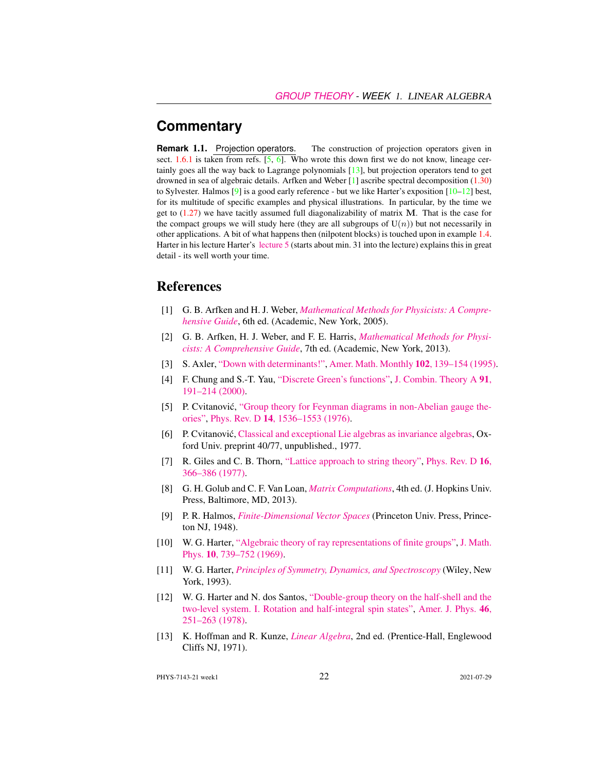#### **Commentary**

**Remark** 1.1. Projection operators. The construction of projection operators given in sect. [1.6.1](#page-14-0) is taken from refs.  $[5, 6]$  $[5, 6]$  $[5, 6]$ . Who wrote this down first we do not know, lineage certainly goes all the way back to Lagrange polynomials [\[13\]](#page-15-8), but projection operators tend to get drowned in sea of algebraic details. Arfken and Weber [\[1\]](#page-15-9) ascribe spectral decomposition [\(1.30\)](#page-9-0) to Sylvester. Halmos  $[9]$  is a good early reference - but we like Harter's exposition  $[10-12]$  $[10-12]$  best, for its multitude of specific examples and physical illustrations. In particular, by the time we get to  $(1.27)$  we have tacitly assumed full diagonalizability of matrix M. That is the case for the compact groups we will study here (they are all subgroups of  $U(n)$ ) but not necessarily in other applications. A bit of what happens then (nilpotent blocks) is touched upon in example [1.4.](#page-11-2) Harter in his lecture Harter's [lecture 5](https://www.youtube.com/watch?v=jLO7-Pks0QM) (starts about min. 31 into the lecture) explains this in great detail - its well worth your time.

#### References

- <span id="page-15-9"></span>[1] G. B. Arfken and H. J. Weber, *[Mathematical Methods for Physicists: A Compre](http://books.google.com/books?vid=ISBN9780123846549)[hensive Guide](http://books.google.com/books?vid=ISBN9780123846549)*, 6th ed. (Academic, New York, 2005).
- <span id="page-15-0"></span>[2] G. B. Arfken, H. J. Weber, and F. E. Harris, *[Mathematical Methods for Physi](http://books.google.com/books?vid=ISBN9780123846549)[cists: A Comprehensive Guide](http://books.google.com/books?vid=ISBN9780123846549)*, 7th ed. (Academic, New York, 2013).
- <span id="page-15-2"></span>[3] S. Axler, ["Down with determinants!",](http://dx.doi.org/10.2307/2975348) [Amer. Math. Monthly](https://doi.org/10.2307/2975348) 102, 139–154 (1995).
- <span id="page-15-4"></span>[4] F. Chung and S.-T. Yau, ["Discrete Green's functions",](http://dx.doi.org/10.1006/jcta.2000.3094) [J. Combin. Theory A](https://doi.org/10.1006/jcta.2000.3094) 91, [191–214 \(2000\).](https://doi.org/10.1006/jcta.2000.3094)
- <span id="page-15-6"></span>[5] P. Cvitanović, ["Group theory for Feynman diagrams in non-Abelian gauge the](http://dx.doi.org/10.1103/PhysRevD.14.1536)[ories",](http://dx.doi.org/10.1103/PhysRevD.14.1536) Phys. Rev. D 14[, 1536–1553 \(1976\).](https://doi.org/10.1103/PhysRevD.14.1536)
- <span id="page-15-7"></span>[6] P. Cvitanović, [Classical and exceptional Lie algebras as invariance algebras,](http://birdtracks.eu/refs/OxfordPrepr.pdf) Oxford Univ. preprint 40/77, unpublished., 1977.
- <span id="page-15-3"></span>[7] R. Giles and C. B. Thorn, ["Lattice approach to string theory",](http://dx.doi.org/10.1103/PhysRevD.16.366) [Phys. Rev. D](https://doi.org/10.1103/PhysRevD.16.366) 16, [366–386 \(1977\).](https://doi.org/10.1103/PhysRevD.16.366)
- <span id="page-15-1"></span>[8] G. H. Golub and C. F. Van Loan, *[Matrix Computations](http://books.google.com/books?vid=ISBN1421407949)*, 4th ed. (J. Hopkins Univ. Press, Baltimore, MD, 2013).
- <span id="page-15-10"></span>[9] P. R. Halmos, *[Finite-Dimensional Vector Spaces](http://books.google.com/books?vid=ISBN9780691090955)* (Princeton Univ. Press, Princeton NJ, 1948).
- <span id="page-15-11"></span>[10] W. G. Harter, ["Algebraic theory of ray representations of finite groups",](http://dx.doi.org/10.1063/1.1664901) [J. Math.](https://doi.org/10.1063/1.1664901) Phys. 10[, 739–752 \(1969\).](https://doi.org/10.1063/1.1664901)
- <span id="page-15-5"></span>[11] W. G. Harter, *[Principles of Symmetry, Dynamics, and Spectroscopy](http://www.uark.edu/ua/modphys/markup/PSDS_Info.html)* (Wiley, New York, 1993).
- <span id="page-15-12"></span>[12] W. G. Harter and N. dos Santos, ["Double-group theory on the half-shell and the](http://dx.doi.org/10.1119/1.11134) [two-level system. I. Rotation and half-integral spin states",](http://dx.doi.org/10.1119/1.11134) [Amer. J. Phys.](https://doi.org/10.1119/1.11134) 46, [251–263 \(1978\).](https://doi.org/10.1119/1.11134)
- <span id="page-15-8"></span>[13] K. Hoffman and R. Kunze, *[Linear Algebra](http://dx.doi.org/10.2307/3617032)*, 2nd ed. (Prentice-Hall, Englewood Cliffs NJ, 1971).

PHYS-7143-21 week1 22 2021-07-29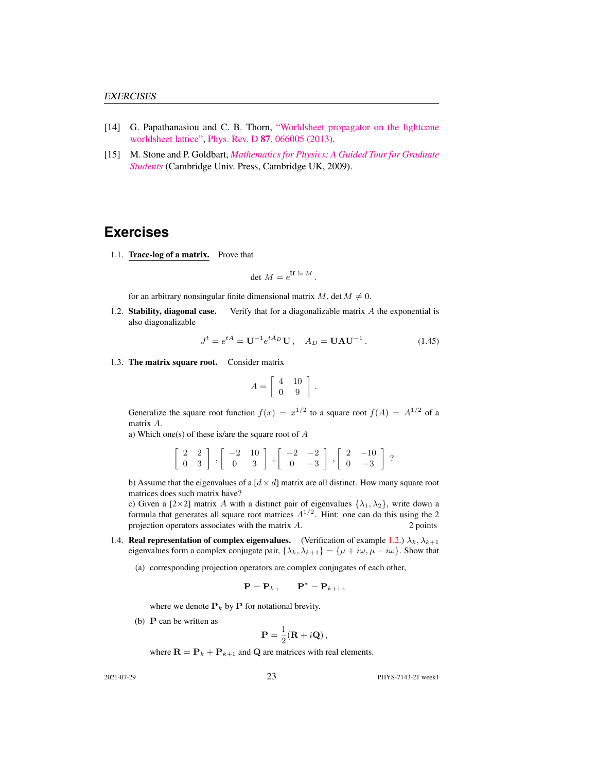- <span id="page-16-4"></span>[14] G. Papathanasiou and C. B. Thorn, ["Worldsheet propagator on the lightcone](http://dx.doi.org/10.1103/PhysRevD.87.066005) [worldsheet lattice",](http://dx.doi.org/10.1103/PhysRevD.87.066005) Phys. Rev. D 87[, 066005 \(2013\).](https://doi.org/10.1103/PhysRevD.87.066005)
- <span id="page-16-3"></span>[15] M. Stone and P. Goldbart, *[Mathematics for Physics: A Guided Tour for Graduate](http://dx.doi.org/10.1017/cbo9780511627040) [Students](http://dx.doi.org/10.1017/cbo9780511627040)* (Cambridge Univ. Press, Cambridge UK, 2009).

#### **Exercises**

<span id="page-16-0"></span>1.1. Trace-log of a matrix. Prove that

$$
\det M = e^{\text{tr}\ln M}.
$$

for an arbitrary nonsingular finite dimensional matrix M, det  $M \neq 0$ .

<span id="page-16-1"></span>1.2. Stability, diagonal case. Verify that for a diagonalizable matrix  $A$  the exponential is also diagonalizable

$$
J^{t} = e^{tA} = U^{-1} e^{tA_D} U, \quad A_D = UAU^{-1}.
$$
 (1.45)

<span id="page-16-2"></span>1.3. The matrix square root. Consider matrix

$$
A = \left[ \begin{array}{cc} 4 & 10 \\ 0 & 9 \end{array} \right] .
$$

Generalize the square root function  $f(x) = x^{1/2}$  to a square root  $f(A) = A^{1/2}$  of a matrix A.

a) Which one(s) of these is/are the square root of A

 $\left[\begin{array}{cc} 2 & 2 \\ 0 & 3 \end{array}\right]$ ,  $\left[\begin{array}{cc} -2 & 10 \\ 0 & 3 \end{array}\right]$ ,  $\left[\begin{array}{cc} -2 & -2 \\ 0 & -3 \end{array}\right]$  $0 -3$  $\begin{bmatrix} 2 & -10 \\ 0 & 2 \end{bmatrix}$  $0 -3$ ?

b) Assume that the eigenvalues of a  $[d \times d]$  matrix are all distinct. How many square root matrices does such matrix have?

c) Given a  $[2\times2]$  matrix A with a distinct pair of eigenvalues  $\{\lambda_1, \lambda_2\}$ , write down a formula that generates all square root matrices  $A^{1/2}$ . Hint: one can do this using the 2 projection operators associates with the matrix  $A$ . 2 points

- <span id="page-16-5"></span>1.4. **Real representation of complex eigenvalues.** (Verification of example [1.2.](#page-10-1))  $\lambda_k$ ,  $\lambda_{k+1}$ eigenvalues form a complex conjugate pair,  $\{\lambda_k, \lambda_{k+1}\} = \{\mu + i\omega, \mu - i\omega\}$ . Show that
	- (a) corresponding projection operators are complex conjugates of each other,

$$
\mathbf{P} = \mathbf{P}_k \,, \qquad \mathbf{P}^* = \mathbf{P}_{k+1} \,,
$$

where we denote  $P_k$  by P for notational brevity.

(b)  $\bf{P}$  can be written as

$$
\mathbf{P} = \frac{1}{2}(\mathbf{R} + i\mathbf{Q}),
$$

where  $\mathbf{R} = \mathbf{P}_k + \mathbf{P}_{k+1}$  and **Q** are matrices with real elements.